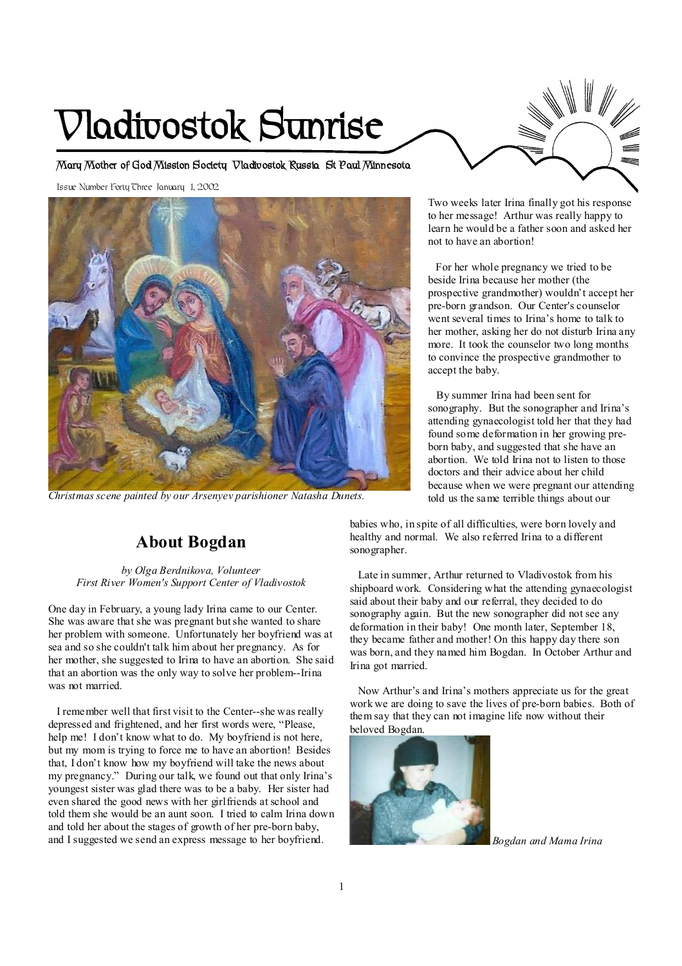# **Vladivostok Sunrise**

**Mary Mother of God Mission Society Vladivostok Russia St Paul Minnesota** 

Issue Number Forty Three January 1, 2002



*Christmas scene painted by our Arsenyev parishioner Natasha Dunets.* 

## **About Bogdan**

*by Olga Berdnikova, Volunteer First River Women's Support Center of Vladivostok* 

One day in February, a young lady Irina came to our Center. She was aware that she was pregnant butshe wanted to share her problem with someone. Unfortunately her boyfriend was at sea and so she couldn't talk him about her pregnancy. As for her mother, she suggested to Irina to have an abortion. She said that an abortion was the only way to solve her problem--Irina was not married.

I remember well that first visit to the Center--she was really depressed and frightened, and her first words were, "Please, help me! I don't know what to do. My boyfriend is not here, but my mom is trying to force me to have an abortion! Besides that, I don't know how my boyfriend will take the news about my pregnancy." During our talk, we found out that only Irina's youngest sister was glad there was to be a baby. Her sister had even shared the good news with her girlfriends at school and told them she would be an aunt soon. I tried to calm Irina down and told her about the stages of growth of her pre-born baby, and I suggested we send an express message to her boyfriend.

Two weeks later Irina finally got his response to her message! Arthur was really happy to learn he would be a father soon and asked her not to have an abortion!

 For her whole pregnancy we tried to be beside Irina because her mother (the prospective grandmother) wouldn't accept her pre-born grandson. Our Center's counselor went several times to Irina's home to talk to her mother, asking her do not disturb Irina any more. It took the counselor two long months to convince the prospective grandmother to accept the baby.

 By summer Irina had been sent for sonography. But the sonographer and Irina's attending gynaecologist told her that they had found some deformation in her growing preborn baby, and suggested that she have an abortion. We told Irina not to listen to those doctors and their advice about her child because when we were pregnant our attending told us the same terrible things about our

babies who, in spite of all difficulties, were born lovely and healthy and normal. We also referred Irina to a different sonographer.

Late in summer, Arthur returned to Vladivostok from his shipboard work. Considering what the attending gynaecologist said about their baby and our referral, they decided to do sonography again. But the new sonographer did not see any deformation in their baby! One month later, September 18, they became father and mother! On this happy day there son was born, and they named him Bogdan. In October Arthur and Irina got married.

Now Arthur's and Irina's mothers appreciate us for the great work we are doing to save the lives of pre-born babies. Both of them say that they can not imagine life now without their beloved Bogdan.



*Bogdan and Mama Irina*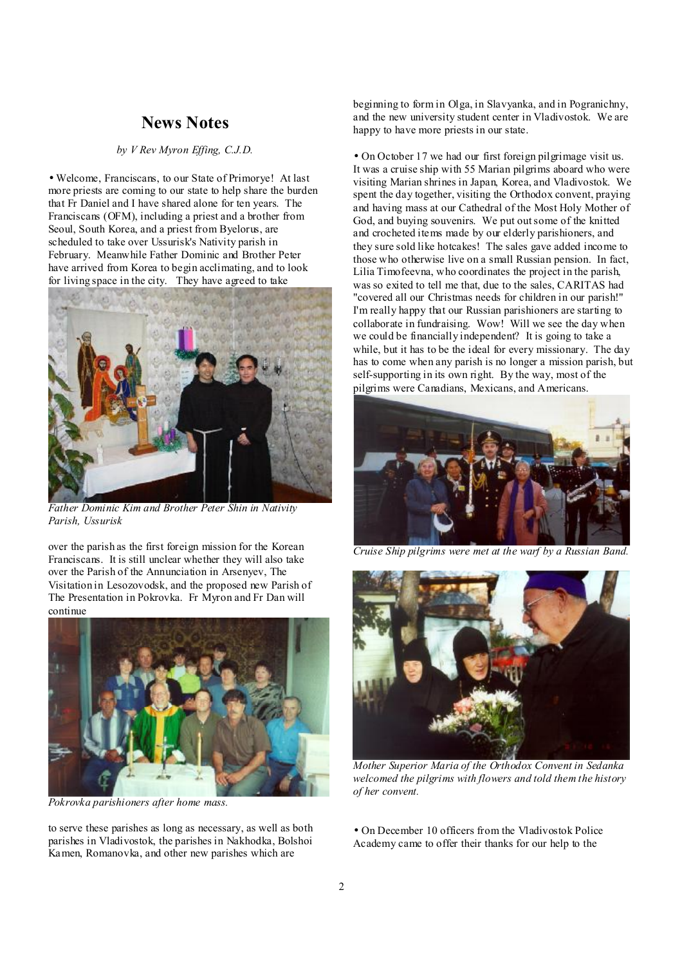## **News Notes**

#### *by V Rev Myron Effing, C.J.D.*

• Welcome, Franciscans, to our State of Primorye! At last more priests are coming to our state to help share the burden that Fr Daniel and I have shared alone for ten years. The Franciscans (OFM), including a priest and a brother from Seoul, South Korea, and a priest from Byelorus, are scheduled to take over Ussurisk's Nativity parish in February. Meanwhile Father Dominic and Brother Peter have arrived from Korea to begin acclimating, and to look for living space in the city. They have agreed to take



*Father Dominic Kim and Brother Peter Shin in Nativity Parish, Ussurisk* 

over the parish as the first foreign mission for the Korean Franciscans. It is still unclear whether they will also take over the Parish of the Annunciation in Arsenyev, The Visitation in Lesozovodsk, and the proposed new Parish of The Presentation in Pokrovka. Fr Myron and Fr Dan will continue



*Pokrovka parishioners after home mass.* 

to serve these parishes as long as necessary, as well as both parishes in Vladivostok, the parishes in Nakhodka, Bolshoi Kamen, Romanovka, and other new parishes which are

beginning to form in Olga, in Slavyanka, and in Pogranichny, and the new university student center in Vladivostok. We are happy to have more priests in our state.

• On October 17 we had our first foreign pilgrimage visit us. It was a cruise ship with 55 Marian pilgrims aboard who were visiting Marian shrines in Japan, Korea, and Vladivostok. We spent the day together, visiting the Orthodox convent, praying and having mass at our Cathedral of the Most Holy Mother of God, and buying souvenirs. We put outsome of the knitted and crocheted items made by our elderly parishioners, and they sure sold like hotcakes! The sales gave added income to those who otherwise live on a small Russian pension. In fact, Lilia Timofeevna, who coordinates the project in the parish, was so exited to tell me that, due to the sales, CARITAS had "covered all our Christmas needs for children in our parish!" I'm really happy that our Russian parishioners are starting to collaborate in fundraising. Wow! Will we see the day when we could be financially independent? It is going to take a while, but it has to be the ideal for every missionary. The day has to come when any parish is no longer a mission parish, but self-supporting in its own right. By the way, most of the pilgrims were Canadians, Mexicans, and Americans.



*Cruise Ship pilgrims were met at the warf by a Russian Band.* 



*Mother Superior Maria of the Orthodox Convent in Sedanka welcomed the pilgrims with flowers and told them the history of her convent.* 

• On December 10 officers from the Vladivostok Police Academy came to offer their thanks for our help to the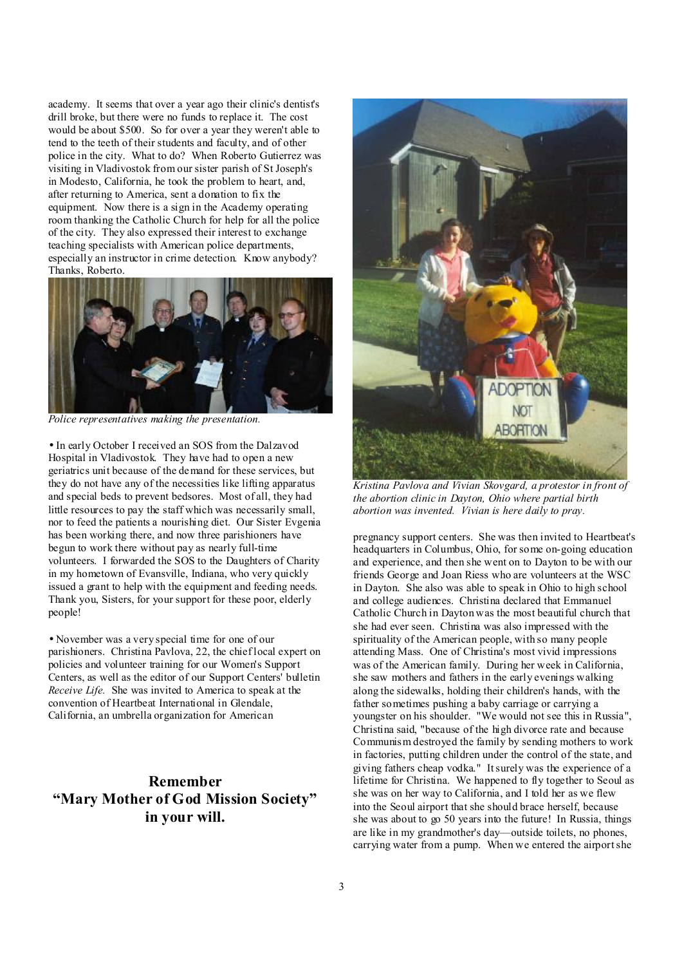academy. It seems that over a year ago their clinic's dentist's drill broke, but there were no funds to replace it. The cost would be about \$500. So for over a year they weren't able to tend to the teeth of their students and faculty, and of other police in the city. What to do? When Roberto Gutierrez was visiting in Vladivostok from our sister parish of St Joseph's in Modesto, California, he took the problem to heart, and, after returning to America, sent a donation to fix the equipment. Now there is a sign in the Academy operating room thanking the Catholic Church for help for all the police of the city. They also expressed their interest to exchange teaching specialists with American police departments, especially an instructor in crime detection. Know anybody? Thanks, Roberto.



*Police representatives making the presentation.* 

• In early October I received an SOS from the Dalzavod Hospital in Vladivostok. They have had to open a new geriatrics unit because of the demand for these services, but they do not have any of the necessities like lifting apparatus and special beds to prevent bedsores. Most of all, they had little resources to pay the staff which was necessarily small, nor to feed the patients a nourishing diet. Our Sister Evgenia has been working there, and now three parishioners have begun to work there without pay as nearly full-time volunteers. I forwarded the SOS to the Daughters of Charity in my hometown of Evansville, Indiana, who very quickly issued a grant to help with the equipment and feeding needs. Thank you, Sisters, for your support for these poor, elderly people!

• November was a very special time for one of our parishioners. Christina Pavlova, 22, the chief local expert on policies and volunteer training for our Women's Support Centers, as well as the editor of our Support Centers' bulletin *Receive Life.* She was invited to America to speak at the convention of Heartbeat International in Glendale, California, an umbrella organization for American

## **Remember "Mary Mother of God Mission Society" in your will.**



*Kristina Pavlova and Vivian Skovgard, a protestor in front of the abortion clinic in Dayton, Ohio where partial birth abortion was invented. Vivian is here daily to pray.* 

pregnancy support centers. She was then invited to Heartbeat's headquarters in Columbus, Ohio, for some on-going education and experience, and then she went on to Dayton to be with our friends George and Joan Riess who are volunteers at the WSC in Dayton. She also was able to speak in Ohio to high school and college audiences. Christina declared that Emmanuel Catholic Church in Dayton was the most beautiful church that she had ever seen. Christina was also impressed with the spirituality of the American people, with so many people attending Mass. One of Christina's most vivid impressions was of the American family. During her week in California, she saw mothers and fathers in the early evenings walking along the sidewalks, holding their children's hands, with the father sometimes pushing a baby carriage or carrying a youngster on his shoulder. "We would not see this in Russia", Christina said, "because of the high divorce rate and because Communism destroyed the family by sending mothers to work in factories, putting children under the control of the state, and giving fathers cheap vodka." Itsurely was the experience of a lifetime for Christina. We happened to fly together to Seoul as she was on her way to California, and I told her as we flew into the Seoul airport that she should brace herself, because she was about to go 50 years into the future! In Russia, things are like in my grandmother's day—outside toilets, no phones, carrying water from a pump. When we entered the airportshe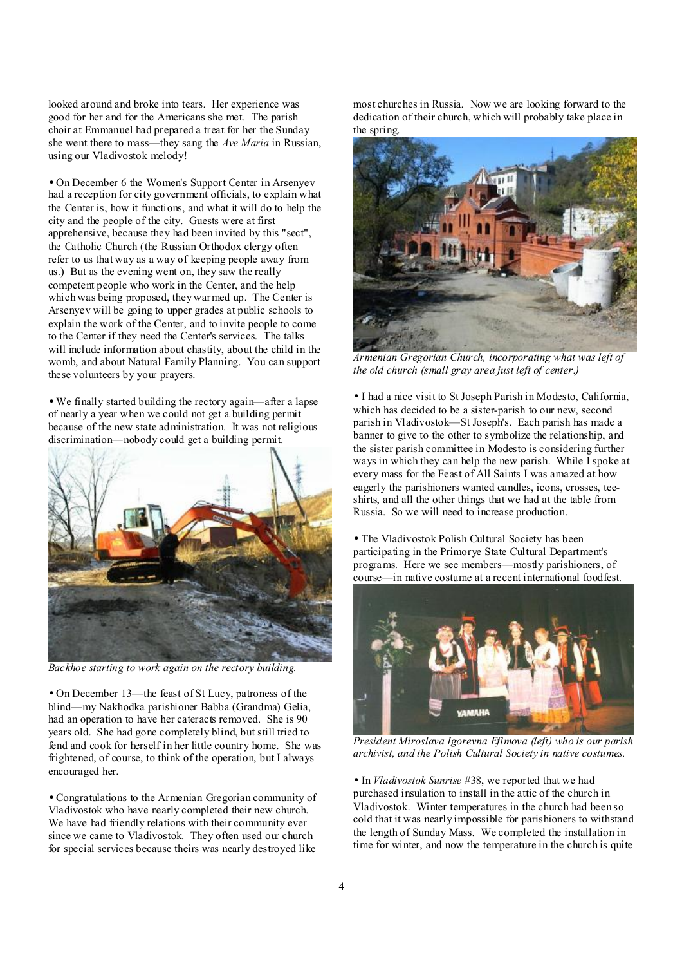looked around and broke into tears. Her experience was good for her and for the Americans she met. The parish choir at Emmanuel had prepared a treat for her the Sunday she went there to mass—they sang the *Ave Maria* in Russian, using our Vladivostok melody!

• On December 6 the Women's Support Center in Arsenyev had a reception for city government officials, to explain what the Center is, how it functions, and what it will do to help the city and the people of the city. Guests were at first apprehensive, because they had been invited by this "sect", the Catholic Church (the Russian Orthodox clergy often refer to us that way as a way of keeping people away from us.) But as the evening went on, they saw the really competent people who work in the Center, and the help which was being proposed, they warmed up. The Center is Arsenyev will be going to upper grades at public schools to explain the work of the Center, and to invite people to come to the Center if they need the Center's services. The talks will include information about chastity, about the child in the womb, and about Natural Family Planning. You can support these volunteers by your prayers.

• We finally started building the rectory again—after a lapse of nearly a year when we could not get a building permit because of the new state administration. It was not religious discrimination—nobody could get a building permit.



*Backhoe starting to work again on the rectory building.* 

• On December 13—the feast of St Lucy, patroness of the blind—my Nakhodka parishioner Babba (Grandma) Gelia, had an operation to have her cateracts removed. She is 90 years old. She had gone completely blind, but still tried to fend and cook for herself in her little country home. She was frightened, of course, to think of the operation, but I always encouraged her.

• Congratulations to the Armenian Gregorian community of Vladivostok who have nearly completed their new church. We have had friendly relations with their community ever since we came to Vladivostok. They often used our church for special services because theirs was nearly destroyed like

most churches in Russia. Now we are looking forward to the dedication of their church, which will probably take place in the spring.



*Armenian Gregorian Church, incorporating what was left of the old church (small gray area just left of center.)* 

• I had a nice visit to St Joseph Parish in Modesto, California, which has decided to be a sister-parish to our new, second parish in Vladivostok—St Joseph's. Each parish has made a banner to give to the other to symbolize the relationship, and the sister parish committee in Modesto is considering further ways in which they can help the new parish. While I spoke at every mass for the Feast of All Saints I was amazed at how eagerly the parishioners wanted candles, icons, crosses, teeshirts, and all the other things that we had at the table from Russia. So we will need to increase production.

• The Vladivostok Polish Cultural Society has been participating in the Primorye State Cultural Department's programs. Here we see members—mostly parishioners, of course—in native costume at a recent international foodfest.



*President Miroslava Igorevna Efimova (left) who is our parish archivist, and the Polish Cultural Society in native costumes.* 

• In *Vladivostok Sunrise* #38, we reported that we had purchased insulation to install in the attic of the church in Vladivostok. Winter temperatures in the church had been so cold that it was nearly impossible for parishioners to withstand the length of Sunday Mass. We completed the installation in time for winter, and now the temperature in the church is quite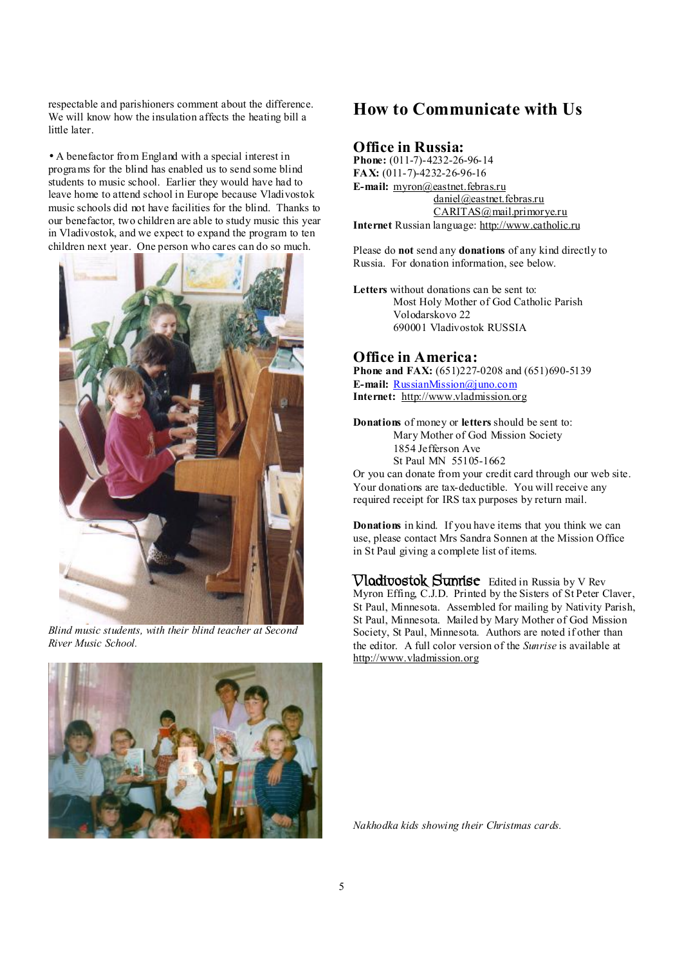respectable and parishioners comment about the difference. We will know how the insulation affects the heating bill a little later.

• A benefactor from England with a special interest in programs for the blind has enabled us to send some blind students to music school. Earlier they would have had to leave home to attend school in Europe because Vladivostok music schools did not have facilities for the blind. Thanks to our benefactor, two children are able to study music this year in Vladivostok, and we expect to expand the program to ten children next year. One person who cares can do so much.



*Blind music students, with their blind teacher at Second River Music School.* 



## **How to Communicate with Us**

#### **Office in Russia:**

**Phone:** (011-7)-4232-26-96-14 **FAX:** (011-7)-4232-26-96-16 **E-mail:** [myron@eastnet.febras.ru](mailto:myron@eastnet.febras.ru) [daniel@eastnet.febras.ru](mailto:daniel@eastnet.febras.ru) [CARITAS@mail.primorye.ru](mailto:CARITAS@mail.primorye.ru) **Internet** Russian language: <http://www.catholic.ru>

Please do **not** send any **donations** of any kind directly to Russia. For donation information, see below.

**Letters** without donations can be sent to: Most Holy Mother of God Catholic Parish Volodarskovo 22 690001 Vladivostok RUSSIA

#### **Office in America:**

**Phone and FAX:** (651)227-0208 and (651)690-5139 **E-mail:** [RussianMission@juno.com](mailto:RussianMission@juno.com) **Internet:** <http://www.vladmission.org>

**Donations** of money or **letters** should be sent to: Mary Mother of God Mission Society 1854 Jefferson Ave St Paul MN 55105-1662

Or you can donate from your credit card through our web site. Your donations are tax-deductible. You will receive any required receipt for IRS tax purposes by return mail.

**Donations** in kind. If you have items that you think we can use, please contact Mrs Sandra Sonnen at the Mission Office in St Paul giving a complete list of items.

**Vladivostok Sunrise** Edited in Russia by V Rev Myron Effing, C.J.D. Printed by the Sisters of St Peter Claver, St Paul, Minnesota. Assembled for mailing by Nativity Parish, St Paul, Minnesota. Mailed by Mary Mother of God Mission Society, St Paul, Minnesota. Authors are noted if other than the editor. A full color version of the *Sunrise* is available at <http://www.vladmission.org>

*Nakhodka kids showing their Christmas cards.*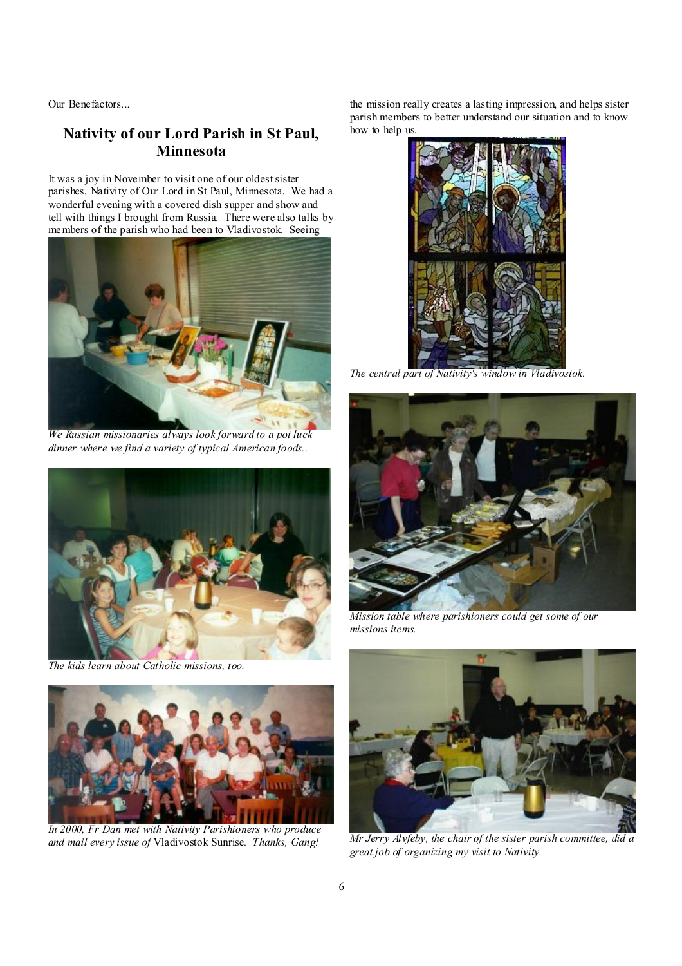Our Benefactors...

## **Nativity of our Lord Parish in St Paul, Minnesota**

It was a joy in November to visit one of our oldest sister parishes, Nativity of Our Lord in St Paul, Minnesota. We had a wonderful evening with a covered dish supper and show and tell with things I brought from Russia. There were also talks by members of the parish who had been to Vladivostok. Seeing



*We Russian missionaries always look forward to a pot luck dinner where we find a variety of typical American foods..* 



*The kids learn about Catholic missions, too.* 



*In 2000, Fr Dan met with Nativity Parishioners who produce and mail every issue of* Vladivostok Sunrise*. Thanks, Gang!* 

the mission really creates a lasting impression, and helps sister parish members to better understand our situation and to know how to help us.



*The central part of Nativity's window in Vladivostok.* 



*Mission table where parishioners could get some of our missions items.* 



*Mr Jerry Alvfeby, the chair of the sister parish committee, did a great job of organizing my visit to Nativity.*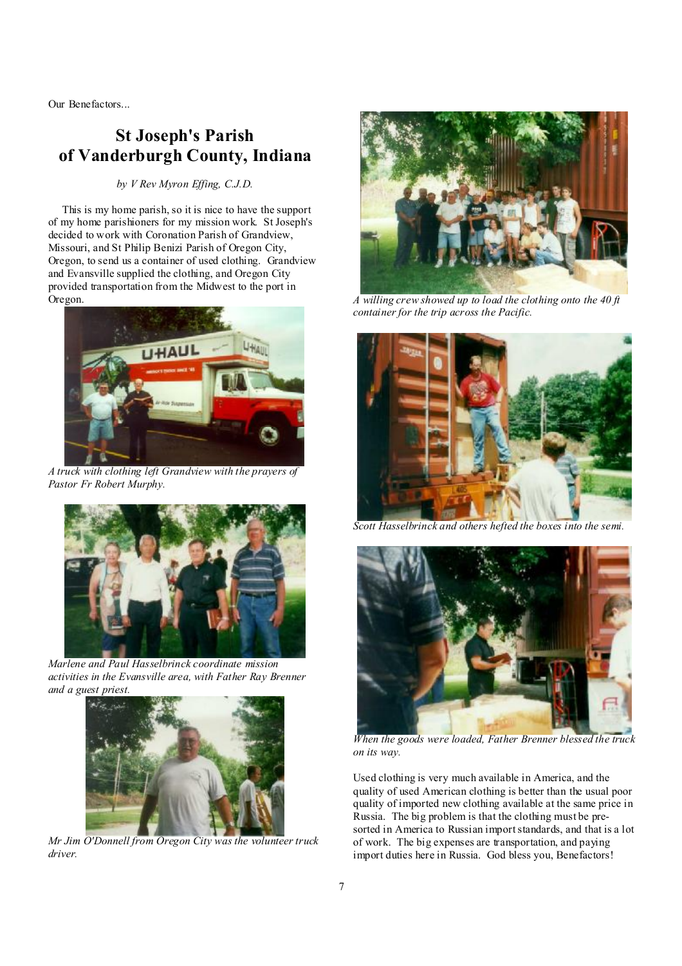Our Benefactors...

# **St Joseph's Parish of Vanderburgh County, Indiana**

#### *by V Rev Myron Effing, C.J.D.*

 This is my home parish, so it is nice to have the support of my home parishioners for my mission work. St Joseph's decided to work with Coronation Parish of Grandview, Missouri, and St Philip Benizi Parish of Oregon City, Oregon, to send us a container of used clothing. Grandview and Evansville supplied the clothing, and Oregon City provided transportation from the Midwest to the port in Oregon.



 *A truck with clothing left Grandview with the prayers of Pastor Fr Robert Murphy.* 



*Marlene and Paul Hasselbrinck coordinate mission activities in the Evansville area, with Father Ray Brenner and a guest priest.* 



*Mr Jim O'Donnell from Oregon City was the volunteer truck driver.* 



*A willing crew showed up to load the clothing onto the 40 ft container for the trip across the Pacific.* 



*Scott Hasselbrinck and others hefted the boxes into the semi.* 



*When the goods were loaded, Father Brenner blessed the truck on its way.* 

Used clothing is very much available in America, and the quality of used American clothing is better than the usual poor quality of imported new clothing available at the same price in Russia. The big problem is that the clothing must be presorted in America to Russian importstandards, and that is a lot of work. The big expenses are transportation, and paying import duties here in Russia. God bless you, Benefactors!